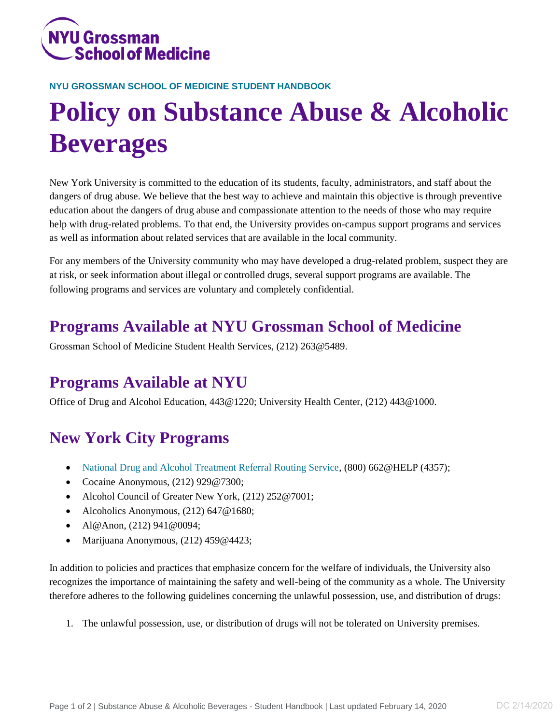

#### **NYU GROSSMAN SCHOOL OF MEDICINE STUDENT HANDBOOK**

# **Policy on Substance Abuse & Alcoholic Beverages**

New York University is committed to the education of its students, faculty, administrators, and staff about the dangers of drug abuse. We believe that the best way to achieve and maintain this objective is through preventive education about the dangers of drug abuse and compassionate attention to the needs of those who may require help with drug-related problems. To that end, the University provides on-campus support programs and services as well as information about related services that are available in the local community.

For any members of the University community who may have developed a drug-related problem, suspect they are at risk, or seek information about illegal or controlled drugs, several support programs are available. The following programs and services are voluntary and completely confidential.

# **Programs Available at NYU Grossman School of Medicine**

Grossman School of Medicine Student Health Services, (212) 263@5489.

## **Programs Available at NYU**

Office of Drug and Alcohol Education, 443@1220; University Health Center, (212) 443@1000.

## **New York City Programs**

- [National Drug and Alcohol Treatment Referral Routing Service,](https://alcoholtreatment.niaaa.nih.gov/) (800) 662@HELP (4357);
- Cocaine Anonymous, (212) 929@7300;
- Alcohol Council of Greater New York, (212) 252@7001;
- Alcoholics Anonymous, (212) 647 @ 1680;
- Al@Anon,  $(212)$  941 $@0094$ ;
- Marijuana Anonymous, (212) 459@4423;

In addition to policies and practices that emphasize concern for the welfare of individuals, the University also recognizes the importance of maintaining the safety and well-being of the community as a whole. The University therefore adheres to the following guidelines concerning the unlawful possession, use, and distribution of drugs:

1. The unlawful possession, use, or distribution of drugs will not be tolerated on University premises.